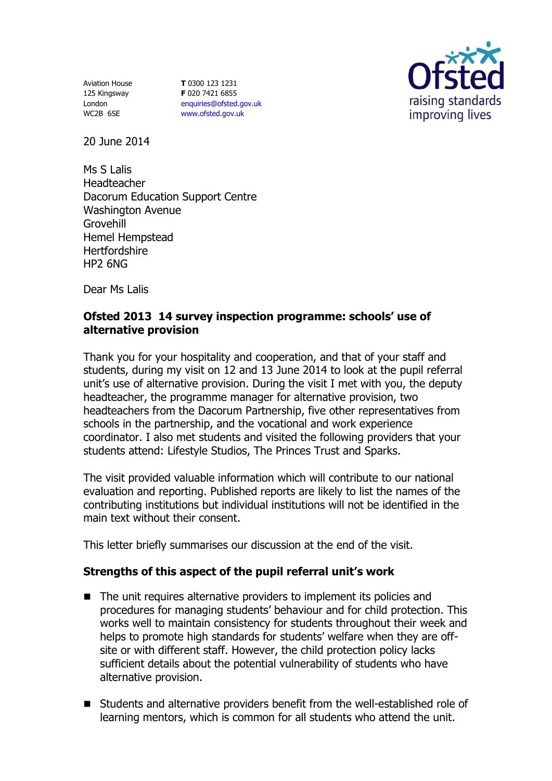Aviation House 125 Kingsway London WC2B 6SE

**T** 0300 123 1231 **F** 020 7421 6855 [enquiries@ofsted.gov.uk](mailto:enquiries@ofsted.gov.uk) [www.ofsted.gov.uk](http://www.ofsted.gov.uk/)



20 June 2014

Ms S Lalis Headteacher Dacorum Education Support Centre Washington Avenue Grovehill Hemel Hempstead **Hertfordshire** HP2 6NG

Dear Ms Lalis

## **Ofsted 2013 14 survey inspection programme: schools' use of alternative provision**

Thank you for your hospitality and cooperation, and that of your staff and students, during my visit on 12 and 13 June 2014 to look at the pupil referral unit's use of alternative provision. During the visit I met with you, the deputy headteacher, the programme manager for alternative provision, two headteachers from the Dacorum Partnership, five other representatives from schools in the partnership, and the vocational and work experience coordinator. I also met students and visited the following providers that your students attend: Lifestyle Studios, The Princes Trust and Sparks.

The visit provided valuable information which will contribute to our national evaluation and reporting. Published reports are likely to list the names of the contributing institutions but individual institutions will not be identified in the main text without their consent.

This letter briefly summarises our discussion at the end of the visit.

## **Strengths of this aspect of the pupil referral unit's work**

- The unit requires alternative providers to implement its policies and procedures for managing students' behaviour and for child protection. This works well to maintain consistency for students throughout their week and helps to promote high standards for students' welfare when they are offsite or with different staff. However, the child protection policy lacks sufficient details about the potential vulnerability of students who have alternative provision.
- Students and alternative providers benefit from the well-established role of learning mentors, which is common for all students who attend the unit.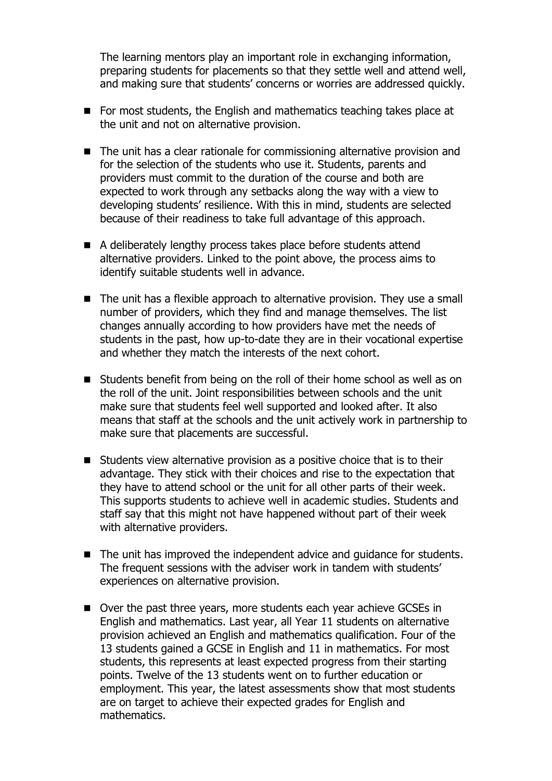The learning mentors play an important role in exchanging information, preparing students for placements so that they settle well and attend well, and making sure that students' concerns or worries are addressed quickly.

- For most students, the English and mathematics teaching takes place at the unit and not on alternative provision.
- The unit has a clear rationale for commissioning alternative provision and for the selection of the students who use it. Students, parents and providers must commit to the duration of the course and both are expected to work through any setbacks along the way with a view to developing students' resilience. With this in mind, students are selected because of their readiness to take full advantage of this approach.
- A deliberately lengthy process takes place before students attend alternative providers. Linked to the point above, the process aims to identify suitable students well in advance.
- The unit has a flexible approach to alternative provision. They use a small number of providers, which they find and manage themselves. The list changes annually according to how providers have met the needs of students in the past, how up-to-date they are in their vocational expertise and whether they match the interests of the next cohort.
- Students benefit from being on the roll of their home school as well as on the roll of the unit. Joint responsibilities between schools and the unit make sure that students feel well supported and looked after. It also means that staff at the schools and the unit actively work in partnership to make sure that placements are successful.
- Students view alternative provision as a positive choice that is to their advantage. They stick with their choices and rise to the expectation that they have to attend school or the unit for all other parts of their week. This supports students to achieve well in academic studies. Students and staff say that this might not have happened without part of their week with alternative providers.
- The unit has improved the independent advice and quidance for students. The frequent sessions with the adviser work in tandem with students' experiences on alternative provision.
- Over the past three years, more students each year achieve GCSEs in English and mathematics. Last year, all Year 11 students on alternative provision achieved an English and mathematics qualification. Four of the 13 students gained a GCSE in English and 11 in mathematics. For most students, this represents at least expected progress from their starting points. Twelve of the 13 students went on to further education or employment. This year, the latest assessments show that most students are on target to achieve their expected grades for English and mathematics.